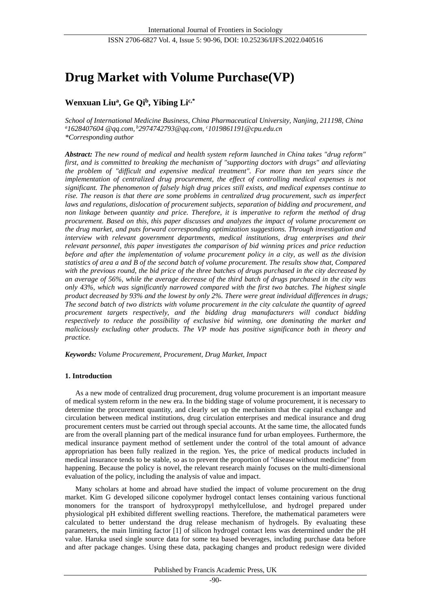# **Drug Market with Volume Purchase(VP)**

# **Wenxuan Liu<sup>a</sup> , Ge Qi<sup>b</sup> , Yibing Lic,\***

*School of International Medicine Business, China Pharmaceutical University, Nanjing, 211198, China <sup>a</sup>1628407604 @qq.com, <sup>b</sup>2974742793@qq.com, <sup>c</sup>1019861191@cpu.edu.cn \*Corresponding author*

*Abstract: The new round of medical and health system reform launched in China takes "drug reform" first, and is committed to breaking the mechanism of "supporting doctors with drugs" and alleviating the problem of "difficult and expensive medical treatment". For more than ten years since the implementation of centralized drug procurement, the effect of controlling medical expenses is not significant. The phenomenon of falsely high drug prices still exists, and medical expenses continue to rise. The reason is that there are some problems in centralized drug procurement, such as imperfect laws and regulations, dislocation of procurement subjects, separation of bidding and procurement, and non linkage between quantity and price. Therefore, it is imperative to reform the method of drug procurement. Based on this, this paper discusses and analyzes the impact of volume procurement on the drug market, and puts forward corresponding optimization suggestions. Through investigation and interview with relevant government departments, medical institutions, drug enterprises and their relevant personnel, this paper investigates the comparison of bid winning prices and price reduction before and after the implementation of volume procurement policy in a city, as well as the division statistics of area a and B of the second batch of volume procurement. The results show that, Compared with the previous round, the bid price of the three batches of drugs purchased in the city decreased by an average of 56%, while the average decrease of the third batch of drugs purchased in the city was only 43%, which was significantly narrowed compared with the first two batches. The highest single product decreased by 93% and the lowest by only 2%. There were great individual differences in drugs; The second batch of two districts with volume procurement in the city calculate the quantity of agreed procurement targets respectively, and the bidding drug manufacturers will conduct bidding respectively to reduce the possibility of exclusive bid winning, one dominating the market and maliciously excluding other products. The VP mode has positive significance both in theory and practice.*

*Keywords: Volume Procurement, Procurement, Drug Market, Impact*

# **1. Introduction**

As a new mode of centralized drug procurement, drug volume procurement is an important measure of medical system reform in the new era. In the bidding stage of volume procurement, it is necessary to determine the procurement quantity, and clearly set up the mechanism that the capital exchange and circulation between medical institutions, drug circulation enterprises and medical insurance and drug procurement centers must be carried out through special accounts. At the same time, the allocated funds are from the overall planning part of the medical insurance fund for urban employees. Furthermore, the medical insurance payment method of settlement under the control of the total amount of advance appropriation has been fully realized in the region. Yes, the price of medical products included in medical insurance tends to be stable, so as to prevent the proportion of "disease without medicine" from happening. Because the policy is novel, the relevant research mainly focuses on the multi-dimensional evaluation of the policy, including the analysis of value and impact.

Many scholars at home and abroad have studied the impact of volume procurement on the drug market. Kim G developed silicone copolymer hydrogel contact lenses containing various functional monomers for the transport of hydroxypropyl methylcellulose, and hydrogel prepared under physiological pH exhibited different swelling reactions. Therefore, the mathematical parameters were calculated to better understand the drug release mechanism of hydrogels. By evaluating these parameters, the main limiting factor [1] of silicon hydrogel contact lens was determined under the pH value. Haruka used single source data for some tea based beverages, including purchase data before and after package changes. Using these data, packaging changes and product redesign were divided

Published by Francis Academic Press, UK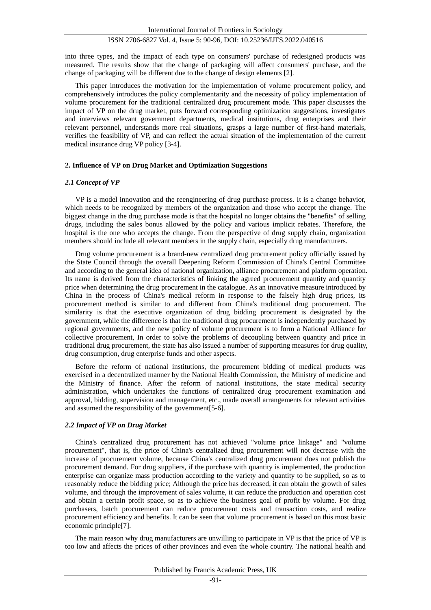into three types, and the impact of each type on consumers' purchase of redesigned products was measured. The results show that the change of packaging will affect consumers' purchase, and the change of packaging will be different due to the change of design elements [2].

This paper introduces the motivation for the implementation of volume procurement policy, and comprehensively introduces the policy complementarity and the necessity of policy implementation of volume procurement for the traditional centralized drug procurement mode. This paper discusses the impact of VP on the drug market, puts forward corresponding optimization suggestions, investigates and interviews relevant government departments, medical institutions, drug enterprises and their relevant personnel, understands more real situations, grasps a large number of first-hand materials, verifies the feasibility of VP, and can reflect the actual situation of the implementation of the current medical insurance drug VP policy [3-4].

### **2. Influence of VP on Drug Market and Optimization Suggestions**

#### *2.1 Concept of VP*

VP is a model innovation and the reengineering of drug purchase process. It is a change behavior, which needs to be recognized by members of the organization and those who accept the change. The biggest change in the drug purchase mode is that the hospital no longer obtains the "benefits" of selling drugs, including the sales bonus allowed by the policy and various implicit rebates. Therefore, the hospital is the one who accepts the change. From the perspective of drug supply chain, organization members should include all relevant members in the supply chain, especially drug manufacturers.

Drug volume procurement is a brand-new centralized drug procurement policy officially issued by the State Council through the overall Deepening Reform Commission of China's Central Committee and according to the general idea of national organization, alliance procurement and platform operation. Its name is derived from the characteristics of linking the agreed procurement quantity and quantity price when determining the drug procurement in the catalogue. As an innovative measure introduced by China in the process of China's medical reform in response to the falsely high drug prices, its procurement method is similar to and different from China's traditional drug procurement. The similarity is that the executive organization of drug bidding procurement is designated by the government, while the difference is that the traditional drug procurement is independently purchased by regional governments, and the new policy of volume procurement is to form a National Alliance for collective procurement, In order to solve the problems of decoupling between quantity and price in traditional drug procurement, the state has also issued a number of supporting measures for drug quality, drug consumption, drug enterprise funds and other aspects.

Before the reform of national institutions, the procurement bidding of medical products was exercised in a decentralized manner by the National Health Commission, the Ministry of medicine and the Ministry of finance. After the reform of national institutions, the state medical security administration, which undertakes the functions of centralized drug procurement examination and approval, bidding, supervision and management, etc., made overall arrangements for relevant activities and assumed the responsibility of the government[5-6].

#### *2.2 Impact of VP on Drug Market*

China's centralized drug procurement has not achieved "volume price linkage" and "volume procurement", that is, the price of China's centralized drug procurement will not decrease with the increase of procurement volume, because China's centralized drug procurement does not publish the procurement demand. For drug suppliers, if the purchase with quantity is implemented, the production enterprise can organize mass production according to the variety and quantity to be supplied, so as to reasonably reduce the bidding price; Although the price has decreased, it can obtain the growth of sales volume, and through the improvement of sales volume, it can reduce the production and operation cost and obtain a certain profit space, so as to achieve the business goal of profit by volume. For drug purchasers, batch procurement can reduce procurement costs and transaction costs, and realize procurement efficiency and benefits. It can be seen that volume procurement is based on this most basic economic principle[7].

The main reason why drug manufacturers are unwilling to participate in VP is that the price of VP is too low and affects the prices of other provinces and even the whole country. The national health and

Published by Francis Academic Press, UK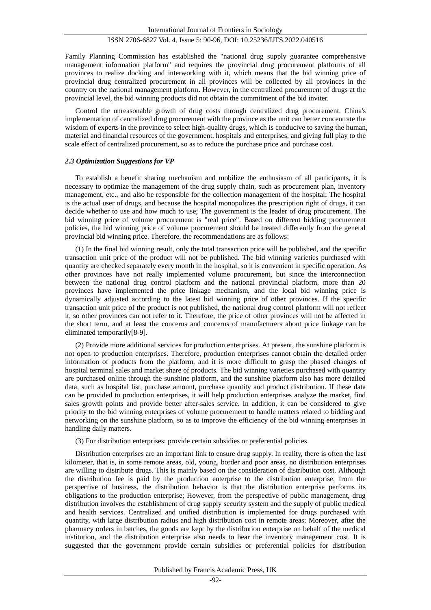Family Planning Commission has established the "national drug supply guarantee comprehensive management information platform" and requires the provincial drug procurement platforms of all provinces to realize docking and interworking with it, which means that the bid winning price of provincial drug centralized procurement in all provinces will be collected by all provinces in the country on the national management platform. However, in the centralized procurement of drugs at the provincial level, the bid winning products did not obtain the commitment of the bid inviter.

Control the unreasonable growth of drug costs through centralized drug procurement. China's implementation of centralized drug procurement with the province as the unit can better concentrate the wisdom of experts in the province to select high-quality drugs, which is conducive to saving the human, material and financial resources of the government, hospitals and enterprises, and giving full play to the scale effect of centralized procurement, so as to reduce the purchase price and purchase cost.

#### *2.3 Optimization Suggestions for VP*

To establish a benefit sharing mechanism and mobilize the enthusiasm of all participants, it is necessary to optimize the management of the drug supply chain, such as procurement plan, inventory management, etc., and also be responsible for the collection management of the hospital; The hospital is the actual user of drugs, and because the hospital monopolizes the prescription right of drugs, it can decide whether to use and how much to use; The government is the leader of drug procurement. The bid winning price of volume procurement is "real price". Based on different bidding procurement policies, the bid winning price of volume procurement should be treated differently from the general provincial bid winning price. Therefore, the recommendations are as follows:

(1) In the final bid winning result, only the total transaction price will be published, and the specific transaction unit price of the product will not be published. The bid winning varieties purchased with quantity are checked separately every month in the hospital, so it is convenient in specific operation. As other provinces have not really implemented volume procurement, but since the interconnection between the national drug control platform and the national provincial platform, more than 20 provinces have implemented the price linkage mechanism, and the local bid winning price is dynamically adjusted according to the latest bid winning price of other provinces. If the specific transaction unit price of the product is not published, the national drug control platform will not reflect it, so other provinces can not refer to it. Therefore, the price of other provinces will not be affected in the short term, and at least the concerns and concerns of manufacturers about price linkage can be eliminated temporarily[8-9].

(2) Provide more additional services for production enterprises. At present, the sunshine platform is not open to production enterprises. Therefore, production enterprises cannot obtain the detailed order information of products from the platform, and it is more difficult to grasp the phased changes of hospital terminal sales and market share of products. The bid winning varieties purchased with quantity are purchased online through the sunshine platform, and the sunshine platform also has more detailed data, such as hospital list, purchase amount, purchase quantity and product distribution. If these data can be provided to production enterprises, it will help production enterprises analyze the market, find sales growth points and provide better after-sales service. In addition, it can be considered to give priority to the bid winning enterprises of volume procurement to handle matters related to bidding and networking on the sunshine platform, so as to improve the efficiency of the bid winning enterprises in handling daily matters.

### (3) For distribution enterprises: provide certain subsidies or preferential policies

Distribution enterprises are an important link to ensure drug supply. In reality, there is often the last kilometer, that is, in some remote areas, old, young, border and poor areas, no distribution enterprises are willing to distribute drugs. This is mainly based on the consideration of distribution cost. Although the distribution fee is paid by the production enterprise to the distribution enterprise, from the perspective of business, the distribution behavior is that the distribution enterprise performs its obligations to the production enterprise; However, from the perspective of public management, drug distribution involves the establishment of drug supply security system and the supply of public medical and health services. Centralized and unified distribution is implemented for drugs purchased with quantity, with large distribution radius and high distribution cost in remote areas; Moreover, after the pharmacy orders in batches, the goods are kept by the distribution enterprise on behalf of the medical institution, and the distribution enterprise also needs to bear the inventory management cost. It is suggested that the government provide certain subsidies or preferential policies for distribution

Published by Francis Academic Press, UK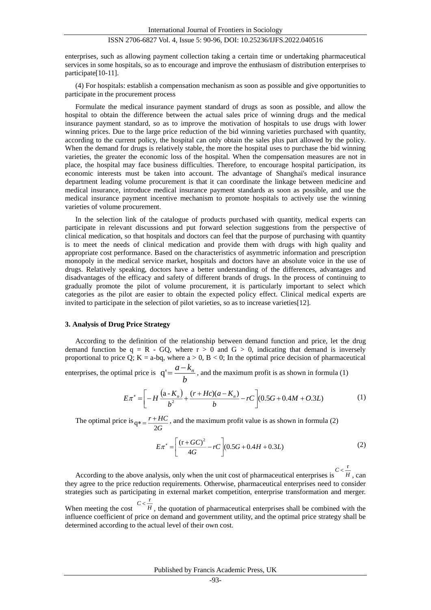enterprises, such as allowing payment collection taking a certain time or undertaking pharmaceutical services in some hospitals, so as to encourage and improve the enthusiasm of distribution enterprises to participate[10-11].

(4) For hospitals: establish a compensation mechanism as soon as possible and give opportunities to participate in the procurement process

Formulate the medical insurance payment standard of drugs as soon as possible, and allow the hospital to obtain the difference between the actual sales price of winning drugs and the medical insurance payment standard, so as to improve the motivation of hospitals to use drugs with lower winning prices. Due to the large price reduction of the bid winning varieties purchased with quantity, according to the current policy, the hospital can only obtain the sales plus part allowed by the policy. When the demand for drugs is relatively stable, the more the hospital uses to purchase the bid winning varieties, the greater the economic loss of the hospital. When the compensation measures are not in place, the hospital may face business difficulties. Therefore, to encourage hospital participation, its economic interests must be taken into account. The advantage of Shanghai's medical insurance department leading volume procurement is that it can coordinate the linkage between medicine and medical insurance, introduce medical insurance payment standards as soon as possible, and use the medical insurance payment incentive mechanism to promote hospitals to actively use the winning varieties of volume procurement.

In the selection link of the catalogue of products purchased with quantity, medical experts can participate in relevant discussions and put forward selection suggestions from the perspective of clinical medication, so that hospitals and doctors can feel that the purpose of purchasing with quantity is to meet the needs of clinical medication and provide them with drugs with high quality and appropriate cost performance. Based on the characteristics of asymmetric information and prescription monopoly in the medical service market, hospitals and doctors have an absolute voice in the use of drugs. Relatively speaking, doctors have a better understanding of the differences, advantages and disadvantages of the efficacy and safety of different brands of drugs. In the process of continuing to gradually promote the pilot of volume procurement, it is particularly important to select which categories as the pilot are easier to obtain the expected policy effect. Clinical medical experts are invited to participate in the selection of pilot varieties, so as to increase varieties[12].

#### **3. Analysis of Drug Price Strategy**

According to the definition of the relationship between demand function and price, let the drug demand function be  $q = R - GQ$ , where  $r > 0$  and  $G > 0$ , indicating that demand is inversely proportional to price Q; K = a-bq, where  $a > 0$ , B < 0; In the optimal price decision of pharmaceutical

enterprises, the optimal price is  $q' = \frac{a - k_n}{b}$ , and the maximum profit is as shown in formula (1)

$$
E\pi^* = \left[ -H \frac{(a-K_n)}{b^2} + \frac{(r+Hc)(a-K_n)}{b} - rC \right] (0.5G + 0.4M + O.3L)
$$
 (1)

The optimal price is *G <sup>r</sup> HC*  $q^* = \frac{r + HC}{2G}$ , and the maximum profit value is as shown in formula (2)

$$
E\pi^* = \left[\frac{(r+GC)^2}{4G} - rC\right] (0.5G + 0.4H + 0.3L)
$$
 (2)

According to the above analysis, only when the unit cost of pharmaceutical enterprises is  $\frac{C < \frac{\Gamma}{H}}{H}$ , can they agree to the price reduction requirements. Otherwise, pharmaceutical enterprises need to consider strategies such as participating in external market competition, enterprise transformation and merger.

When meeting the cost  $C < \frac{r}{H}$ , the quotation of pharmaceutical enterprises shall be combined with the influence coefficient of price on demand and government utility, and the optimal price strategy shall be determined according to the actual level of their own cost.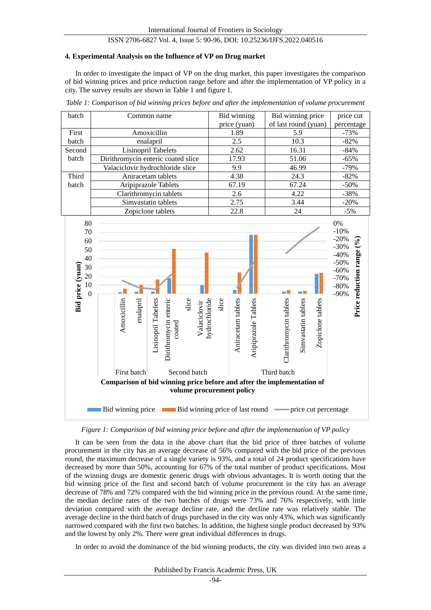#### **4. Experimental Analysis on the Influence of VP on Drug market**

In order to investigate the impact of VP on the drug market, this paper investigates the comparison of bid winning prices and price reduction range before and after the implementation of VP policy in a city. The survey results are shown in Table 1 and figure 1.

|  |  | Table 1: Comparison of bid winning prices before and after the implementation of volume procurement |  |
|--|--|-----------------------------------------------------------------------------------------------------|--|
|  |  |                                                                                                     |  |

| batch  | Common name                        | Bid winning  | Bid winning price    | price cut  |
|--------|------------------------------------|--------------|----------------------|------------|
|        |                                    | price (yuan) | of last round (yuan) | percentage |
| First  | Amoxicillin                        | 1.89         | 5.9                  | $-73%$     |
| batch  | enalapril                          | 2.5          | 10.3                 | $-82%$     |
| Second | Lisinopril Tabelets                | 2.62         | 16.31                | $-84%$     |
| batch  | Dirithromycin enteric coated slice | 17.93        | 51.06                | $-65%$     |
|        | Valaciclovir hydrochloride slice   | 9.9          | 46.99                | $-79%$     |
| Third  | Aniracetam tablets                 | 4.38         | 24.3                 | $-82\%$    |
| batch  | Aripiprazole Tablets               | 67.19        | 67.24                | $-50\%$    |
|        | Clarithromycin tablets             | 2.6          | 4.22                 | $-38%$     |
|        | Simvastatin tablets                | 2.75         | 3.44                 | $-20%$     |
|        | Zopiclone tablets                  | 22.8         | 24                   | $-5\%$     |



*Figure 1: Comparison of bid winning price before and after the implementation of VP policy*

It can be seen from the data in the above chart that the bid price of three batches of volume procurement in the city has an average decrease of 56% compared with the bid price of the previous round, the maximum decrease of a single variety is 93%, and a total of 24 product specifications have decreased by more than 50%, accounting for 67% of the total number of product specifications. Most of the winning drugs are domestic generic drugs with obvious advantages. It is worth noting that the bid winning price of the first and second batch of volume procurement in the city has an average decrease of 78% and 72% compared with the bid winning price in the previous round. At the same time, the median decline rates of the two batches of drugs were 73% and 76% respectively, with little deviation compared with the average decline rate, and the decline rate was relatively stable. The average decline in the third batch of drugs purchased in the city was only 43%, which was significantly narrowed compared with the first two batches. In addition, the highest single product decreased by 93% and the lowest by only 2%. There were great individual differences in drugs.

In order to avoid the dominance of the bid winning products, the city was divided into two areas a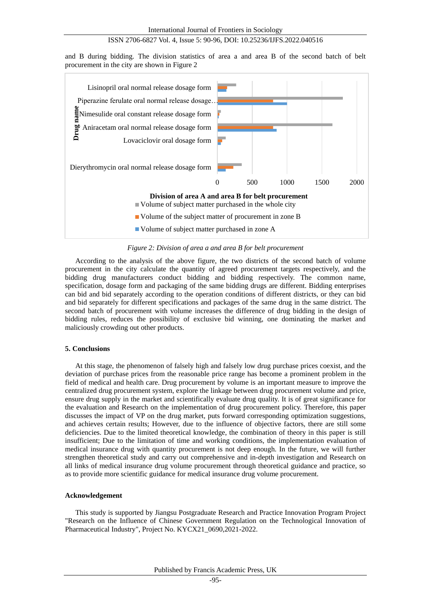and B during bidding. The division statistics of area a and area B of the second batch of belt procurement in the city are shown in Figure 2



*Figure 2: Division of area a and area B for belt procurement*

According to the analysis of the above figure, the two districts of the second batch of volume procurement in the city calculate the quantity of agreed procurement targets respectively, and the bidding drug manufacturers conduct bidding and bidding respectively. The common name, specification, dosage form and packaging of the same bidding drugs are different. Bidding enterprises can bid and bid separately according to the operation conditions of different districts, or they can bid and bid separately for different specifications and packages of the same drug in the same district. The second batch of procurement with volume increases the difference of drug bidding in the design of bidding rules, reduces the possibility of exclusive bid winning, one dominating the market and maliciously crowding out other products.

#### **5. Conclusions**

At this stage, the phenomenon of falsely high and falsely low drug purchase prices coexist, and the deviation of purchase prices from the reasonable price range has become a prominent problem in the field of medical and health care. Drug procurement by volume is an important measure to improve the centralized drug procurement system, explore the linkage between drug procurement volume and price, ensure drug supply in the market and scientifically evaluate drug quality. It is of great significance for the evaluation and Research on the implementation of drug procurement policy. Therefore, this paper discusses the impact of VP on the drug market, puts forward corresponding optimization suggestions, and achieves certain results; However, due to the influence of objective factors, there are still some deficiencies. Due to the limited theoretical knowledge, the combination of theory in this paper is still insufficient; Due to the limitation of time and working conditions, the implementation evaluation of medical insurance drug with quantity procurement is not deep enough. In the future, we will further strengthen theoretical study and carry out comprehensive and in-depth investigation and Research on all links of medical insurance drug volume procurement through theoretical guidance and practice, so as to provide more scientific guidance for medical insurance drug volume procurement.

#### **Acknowledgement**

This study is supported by Jiangsu Postgraduate Research and Practice Innovation Program Project "Research on the Influence of Chinese Government Regulation on the Technological Innovation of Pharmaceutical Industry", Project No. KYCX21\_0690,2021-2022.

Published by Francis Academic Press, UK